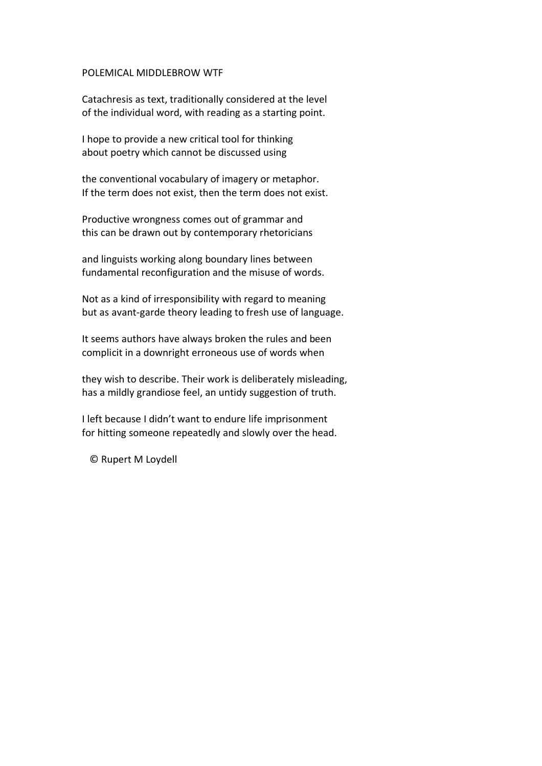## POLEMICAL MIDDLEBROW WTF

Catachresis as text, traditionally considered at the level of the individual word, with reading as a starting point.

I hope to provide a new critical tool for thinking about poetry which cannot be discussed using

the conventional vocabulary of imagery or metaphor. If the term does not exist, then the term does not exist.

Productive wrongness comes out of grammar and this can be drawn out by contemporary rhetoricians

and linguists working along boundary lines between fundamental reconfiguration and the misuse of words.

Not as a kind of irresponsibility with regard to meaning but as avant-garde theory leading to fresh use of language.

It seems authors have always broken the rules and been complicit in a downright erroneous use of words when

they wish to describe. Their work is deliberately misleading, has a mildly grandiose feel, an untidy suggestion of truth.

I left because I didn't want to endure life imprisonment for hitting someone repeatedly and slowly over the head.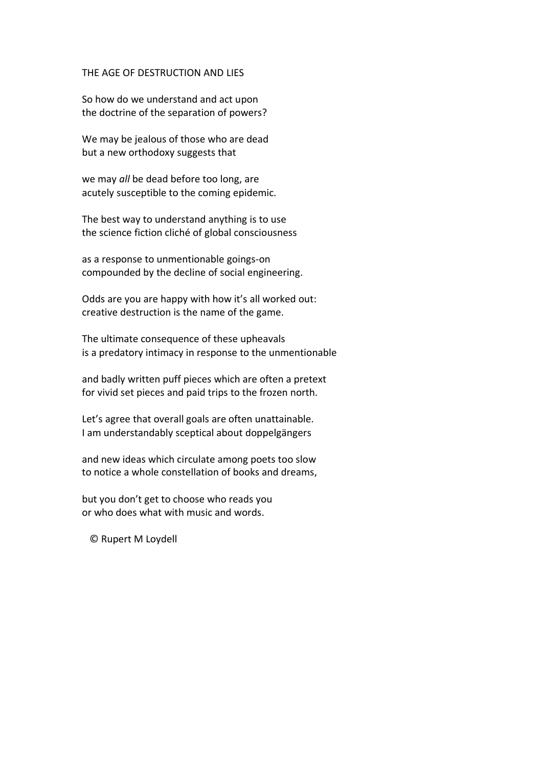### THE AGE OF DESTRUCTION AND LIES

So how do we understand and act upon the doctrine of the separation of powers?

We may be jealous of those who are dead but a new orthodoxy suggests that

we may *all* be dead before too long, are acutely susceptible to the coming epidemic.

The best way to understand anything is to use the science fiction cliché of global consciousness

as a response to unmentionable goings-on compounded by the decline of social engineering.

Odds are you are happy with how it's all worked out: creative destruction is the name of the game.

The ultimate consequence of these upheavals is a predatory intimacy in response to the unmentionable

and badly written puff pieces which are often a pretext for vivid set pieces and paid trips to the frozen north.

Let's agree that overall goals are often unattainable. I am understandably sceptical about doppelgängers

and new ideas which circulate among poets too slow to notice a whole constellation of books and dreams,

but you don't get to choose who reads you or who does what with music and words.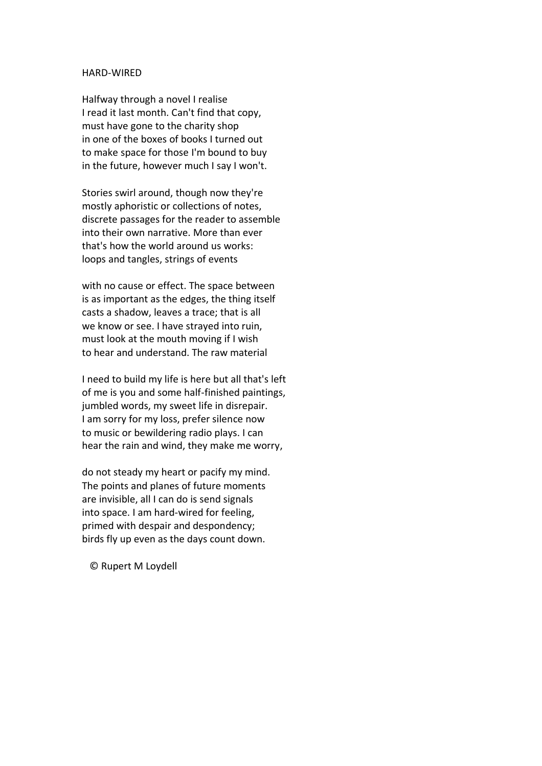### HARD-WIRED

Halfway through a novel I realise I read it last month. Can't find that copy, must have gone to the charity shop in one of the boxes of books I turned out to make space for those I'm bound to buy in the future, however much I say I won't.

Stories swirl around, though now they're mostly aphoristic or collections of notes, discrete passages for the reader to assemble into their own narrative. More than ever that's how the world around us works: loops and tangles, strings of events

with no cause or effect. The space between is as important as the edges, the thing itself casts a shadow, leaves a trace; that is all we know or see. I have strayed into ruin, must look at the mouth moving if I wish to hear and understand. The raw material

I need to build my life is here but all that's left of me is you and some half-finished paintings, jumbled words, my sweet life in disrepair. I am sorry for my loss, prefer silence now to music or bewildering radio plays. I can hear the rain and wind, they make me worry,

do not steady my heart or pacify my mind. The points and planes of future moments are invisible, all I can do is send signals into space. I am hard-wired for feeling, primed with despair and despondency; birds fly up even as the days count down.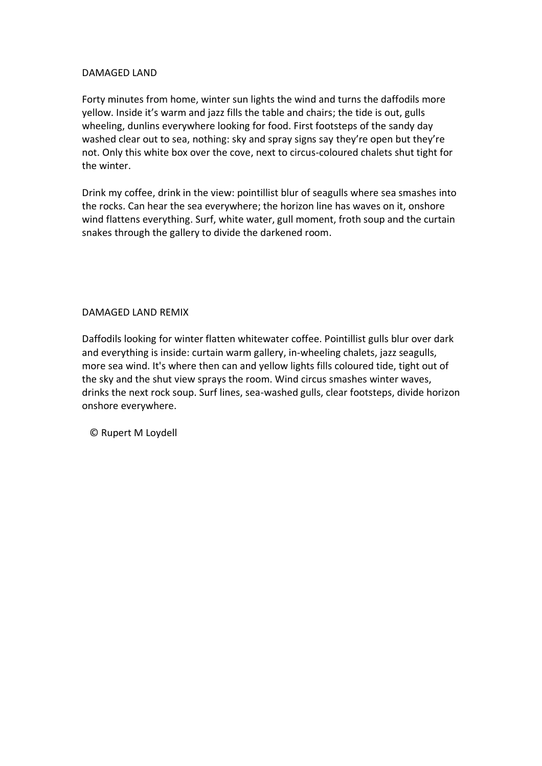# DAMAGED LAND

Forty minutes from home, winter sun lights the wind and turns the daffodils more yellow. Inside it's warm and jazz fills the table and chairs; the tide is out, gulls wheeling, dunlins everywhere looking for food. First footsteps of the sandy day washed clear out to sea, nothing: sky and spray signs say they're open but they're not. Only this white box over the cove, next to circus-coloured chalets shut tight for the winter.

Drink my coffee, drink in the view: pointillist blur of seagulls where sea smashes into the rocks. Can hear the sea everywhere; the horizon line has waves on it, onshore wind flattens everything. Surf, white water, gull moment, froth soup and the curtain snakes through the gallery to divide the darkened room.

# DAMAGED LAND REMIX

Daffodils looking for winter flatten whitewater coffee. Pointillist gulls blur over dark and everything is inside: curtain warm gallery, in-wheeling chalets, jazz seagulls, more sea wind. It's where then can and yellow lights fills coloured tide, tight out of the sky and the shut view sprays the room. Wind circus smashes winter waves, drinks the next rock soup. Surf lines, sea-washed gulls, clear footsteps, divide horizon onshore everywhere.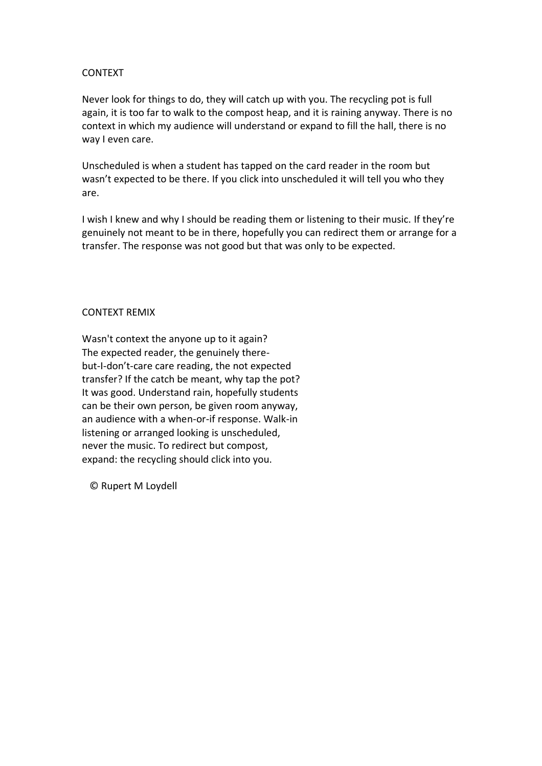# CONTEXT

Never look for things to do, they will catch up with you. The recycling pot is full again, it is too far to walk to the compost heap, and it is raining anyway. There is no context in which my audience will understand or expand to fill the hall, there is no way I even care.

Unscheduled is when a student has tapped on the card reader in the room but wasn't expected to be there. If you click into unscheduled it will tell you who they are.

I wish I knew and why I should be reading them or listening to their music. If they're genuinely not meant to be in there, hopefully you can redirect them or arrange for a transfer. The response was not good but that was only to be expected.

# CONTEXT REMIX

Wasn't context the anyone up to it again? The expected reader, the genuinely therebut-I-don't-care care reading, the not expected transfer? If the catch be meant, why tap the pot? It was good. Understand rain, hopefully students can be their own person, be given room anyway, an audience with a when-or-if response. Walk-in listening or arranged looking is unscheduled, never the music. To redirect but compost, expand: the recycling should click into you.